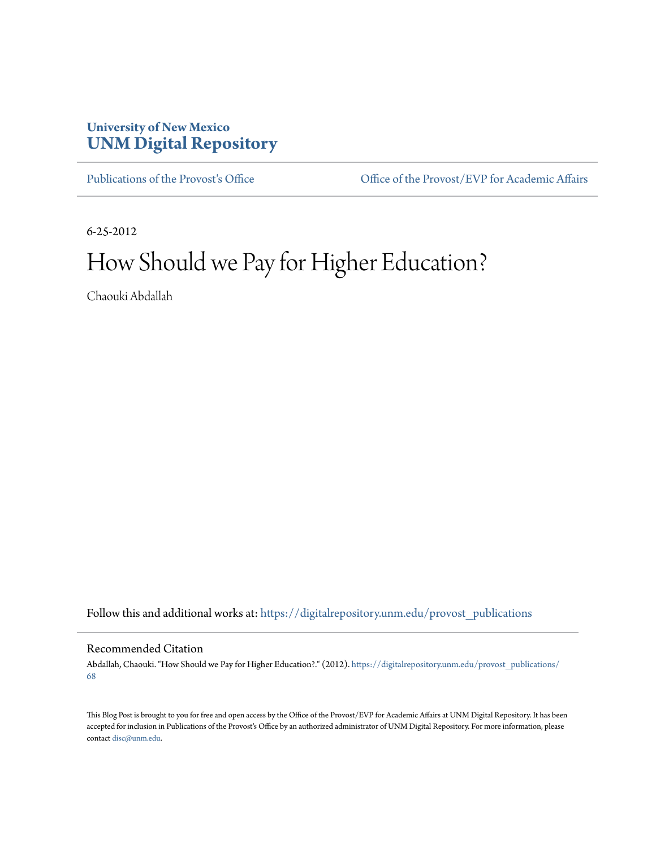### **University of New Mexico [UNM Digital Repository](https://digitalrepository.unm.edu?utm_source=digitalrepository.unm.edu%2Fprovost_publications%2F68&utm_medium=PDF&utm_campaign=PDFCoverPages)**

[Publications of the Provost's Office](https://digitalrepository.unm.edu/provost_publications?utm_source=digitalrepository.unm.edu%2Fprovost_publications%2F68&utm_medium=PDF&utm_campaign=PDFCoverPages) **Office Office of the Provost/EVP** for Academic Affairs

6-25-2012

## How Should we Pay for Higher Education?

Chaouki Abdallah

Follow this and additional works at: [https://digitalrepository.unm.edu/provost\\_publications](https://digitalrepository.unm.edu/provost_publications?utm_source=digitalrepository.unm.edu%2Fprovost_publications%2F68&utm_medium=PDF&utm_campaign=PDFCoverPages)

#### Recommended Citation

Abdallah, Chaouki. "How Should we Pay for Higher Education?." (2012). [https://digitalrepository.unm.edu/provost\\_publications/](https://digitalrepository.unm.edu/provost_publications/68?utm_source=digitalrepository.unm.edu%2Fprovost_publications%2F68&utm_medium=PDF&utm_campaign=PDFCoverPages) [68](https://digitalrepository.unm.edu/provost_publications/68?utm_source=digitalrepository.unm.edu%2Fprovost_publications%2F68&utm_medium=PDF&utm_campaign=PDFCoverPages)

This Blog Post is brought to you for free and open access by the Office of the Provost/EVP for Academic Affairs at UNM Digital Repository. It has been accepted for inclusion in Publications of the Provost's Office by an authorized administrator of UNM Digital Repository. For more information, please contact [disc@unm.edu.](mailto:disc@unm.edu)